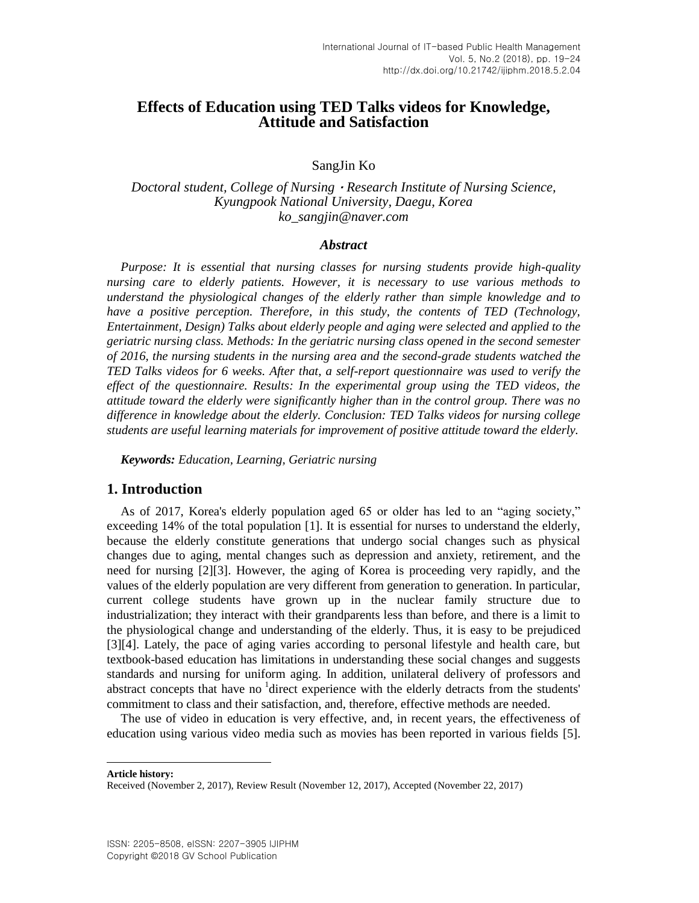# **Effects of Education using TED Talks videos for Knowledge, Attitude and Satisfaction**

SangJin Ko

*Doctoral student, College of Nursing*·*Research Institute of Nursing Science, Kyungpook National University, Daegu, Korea ko\_sangjin@naver.com*

#### *Abstract*

*Purpose: It is essential that nursing classes for nursing students provide high-quality nursing care to elderly patients. However, it is necessary to use various methods to understand the physiological changes of the elderly rather than simple knowledge and to have a positive perception. Therefore, in this study, the contents of TED (Technology, Entertainment, Design) Talks about elderly people and aging were selected and applied to the geriatric nursing class. Methods: In the geriatric nursing class opened in the second semester of 2016, the nursing students in the nursing area and the second-grade students watched the TED Talks videos for 6 weeks. After that, a self-report questionnaire was used to verify the effect of the questionnaire. Results: In the experimental group using the TED videos, the attitude toward the elderly were significantly higher than in the control group. There was no difference in knowledge about the elderly. Conclusion: TED Talks videos for nursing college students are useful learning materials for improvement of positive attitude toward the elderly.*

*Keywords: Education, Learning, Geriatric nursing*

## **1. Introduction**

As of 2017, Korea's elderly population aged 65 or older has led to an "aging society," exceeding 14% of the total population [\[1\].](#page-4-0) It is essential for nurses to understand the elderly, because the elderly constitute generations that undergo social changes such as physical changes due to aging, mental changes such as depression and anxiety, retirement, and the need for nursing [\[2\]\[3\].](#page-4-1) However, the aging of Korea is proceeding very rapidly, and the values of the elderly population are very different from generation to generation. In particular, current college students have grown up in the nuclear family structure due to industrialization; they interact with their grandparents less than before, and there is a limit to the physiological change and understanding of the elderly. Thus, it is easy to be prejudiced [\[3\]\[4\].](#page-4-2) Lately, the pace of aging varies according to personal lifestyle and health care, but textbook-based education has limitations in understanding these social changes and suggests standards and nursing for uniform aging. In addition, unilateral delivery of professors and abstract concepts that have no <sup>1</sup>direct experience with the elderly detracts from the students' commitment to class and their satisfaction, and, therefore, effective methods are needed.

The use of video in education is very effective, and, in recent years, the effectiveness of education using various video media such as movies has been reported in various fields [\[5\].](#page-4-3)

**Article history:**

l

Received (November 2, 2017), Review Result (November 12, 2017), Accepted (November 22, 2017)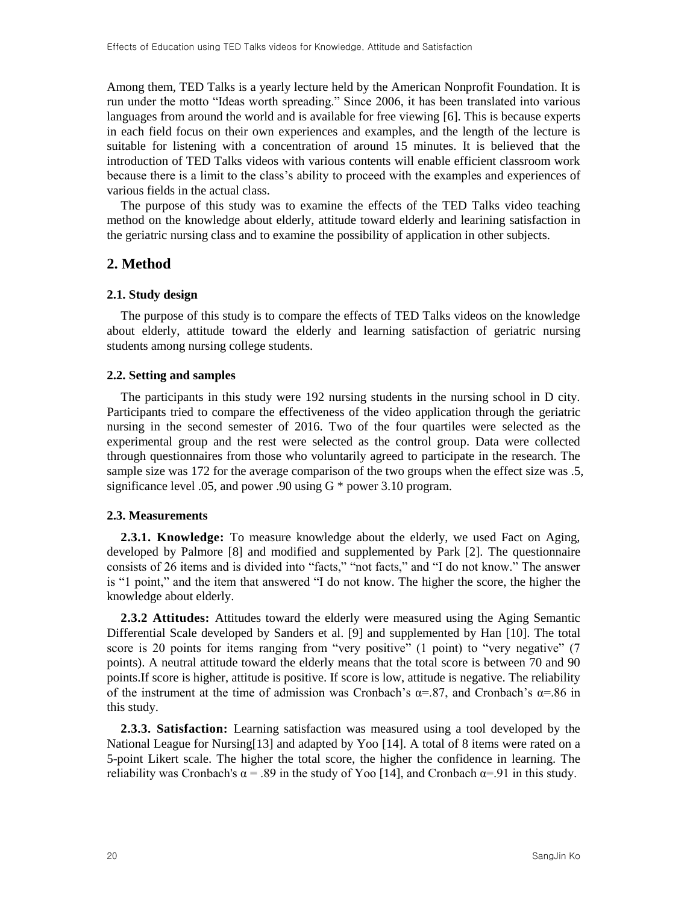Among them, TED Talks is a yearly lecture held by the American Nonprofit Foundation. It is run under the motto "Ideas worth spreading." Since 2006, it has been translated into various languages from around the world and is available for free viewing [\[6\].](#page-4-4) This is because experts in each field focus on their own experiences and examples, and the length of the lecture is suitable for listening with a concentration of around 15 minutes. It is believed that the introduction of TED Talks videos with various contents will enable efficient classroom work because there is a limit to the class"s ability to proceed with the examples and experiences of various fields in the actual class.

The purpose of this study was to examine the effects of the TED Talks video teaching method on the knowledge about elderly, attitude toward elderly and learining satisfaction in the geriatric nursing class and to examine the possibility of application in other subjects.

## **2. Method**

#### **2.1. Study design**

The purpose of this study is to compare the effects of TED Talks videos on the knowledge about elderly, attitude toward the elderly and learning satisfaction of geriatric nursing students among nursing college students.

#### **2.2. Setting and samples**

The participants in this study were 192 nursing students in the nursing school in D city. Participants tried to compare the effectiveness of the video application through the geriatric nursing in the second semester of 2016. Two of the four quartiles were selected as the experimental group and the rest were selected as the control group. Data were collected through questionnaires from those who voluntarily agreed to participate in the research. The sample size was 172 for the average comparison of the two groups when the effect size was .5, significance level .05, and power .90 using G \* power 3.10 program.

#### **2.3. Measurements**

**2.3.1. Knowledge:** To measure knowledge about the elderly, we used Fact on Aging, developed by Palmore [\[8\]](#page-4-5) and modified and supplemented by Park [\[2\].](#page-4-1) The questionnaire consists of 26 items and is divided into "facts," "not facts," and "I do not know." The answer is "1 point," and the item that answered "I do not know. The higher the score, the higher the knowledge about elderly.

**2.3.2 Attitudes:** Attitudes toward the elderly were measured using the Aging Semantic Differential Scale developed by Sanders et al. [\[9\]](#page-4-6) and supplemented by Han [\[10\].](#page-4-7) The total score is 20 points for items ranging from "very positive" (1 point) to "very negative" (7 points). A neutral attitude toward the elderly means that the total score is between 70 and 90 points.If score is higher, attitude is positive. If score is low, attitude is negative. The reliability of the instrument at the time of admission was Cronbach's  $\alpha = .87$ , and Cronbach's  $\alpha = .86$  in this study.

**2.3.3. Satisfaction:** Learning satisfaction was measured using a tool developed by the National League for Nursing[13] and adapted by Yoo [\[14\].](#page-5-0) A total of 8 items were rated on a 5-point Likert scale. The higher the total score, the higher the confidence in learning. The reliability was Cronbach's  $\alpha = .89$  in the study of Yoo [\[14\],](#page-5-0) and Cronbach  $\alpha = .91$  in this study.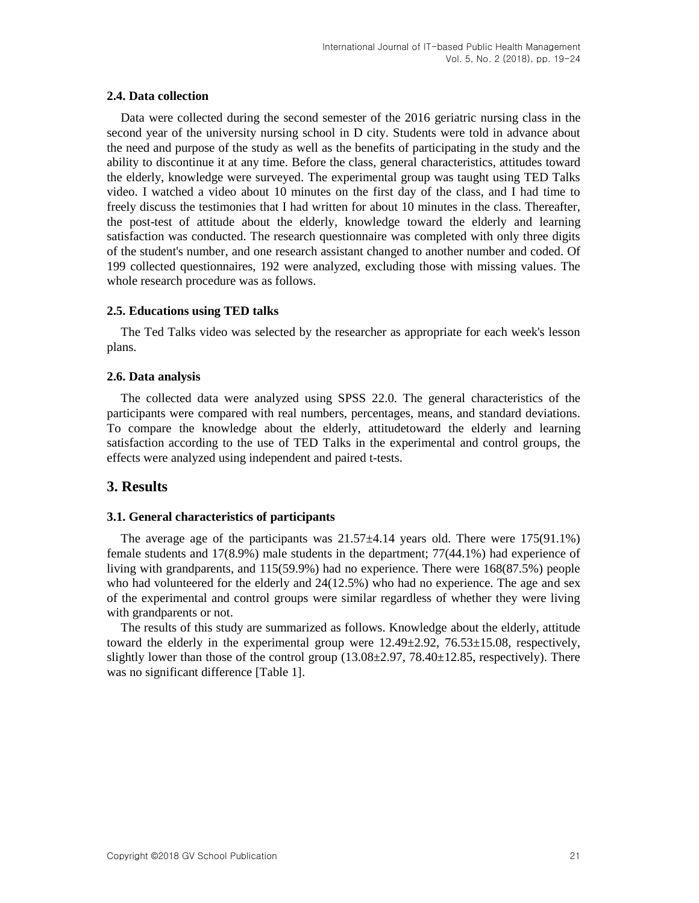#### **2.4. Data collection**

Data were collected during the second semester of the 2016 geriatric nursing class in the second year of the university nursing school in D city. Students were told in advance about the need and purpose of the study as well as the benefits of participating in the study and the ability to discontinue it at any time. Before the class, general characteristics, attitudes toward the elderly, knowledge were surveyed. The experimental group was taught using TED Talks video. I watched a video about 10 minutes on the first day of the class, and I had time to freely discuss the testimonies that I had written for about 10 minutes in the class. Thereafter, the post-test of attitude about the elderly, knowledge toward the elderly and learning satisfaction was conducted. The research questionnaire was completed with only three digits of the student's number, and one research assistant changed to another number and coded. Of 199 collected questionnaires, 192 were analyzed, excluding those with missing values. The whole research procedure was as follows.

#### **2.5. Educations using TED talks**

The Ted Talks video was selected by the researcher as appropriate for each week's lesson plans.

#### **2.6. Data analysis**

The collected data were analyzed using SPSS 22.0. The general characteristics of the participants were compared with real numbers, percentages, means, and standard deviations. To compare the knowledge about the elderly, attitudetoward the elderly and learning satisfaction according to the use of TED Talks in the experimental and control groups, the effects were analyzed using independent and paired t-tests.

## **3. Results**

## **3.1. General characteristics of participants**

The average age of the participants was  $21.57\pm4.14$  years old. There were  $175(91.1\%)$ female students and 17(8.9%) male students in the department; 77(44.1%) had experience of living with grandparents, and 115(59.9%) had no experience. There were 168(87.5%) people who had volunteered for the elderly and 24(12.5%) who had no experience. The age and sex of the experimental and control groups were similar regardless of whether they were living with grandparents or not.

The results of this study are summarized as follows. Knowledge about the elderly, attitude toward the elderly in the experimental group were  $12.49\pm2.92$ ,  $76.53\pm15.08$ , respectively, slightly lower than those of the control group (13.08±2.97, 78.40±12.85, respectively). There was no significant difference [Table 1].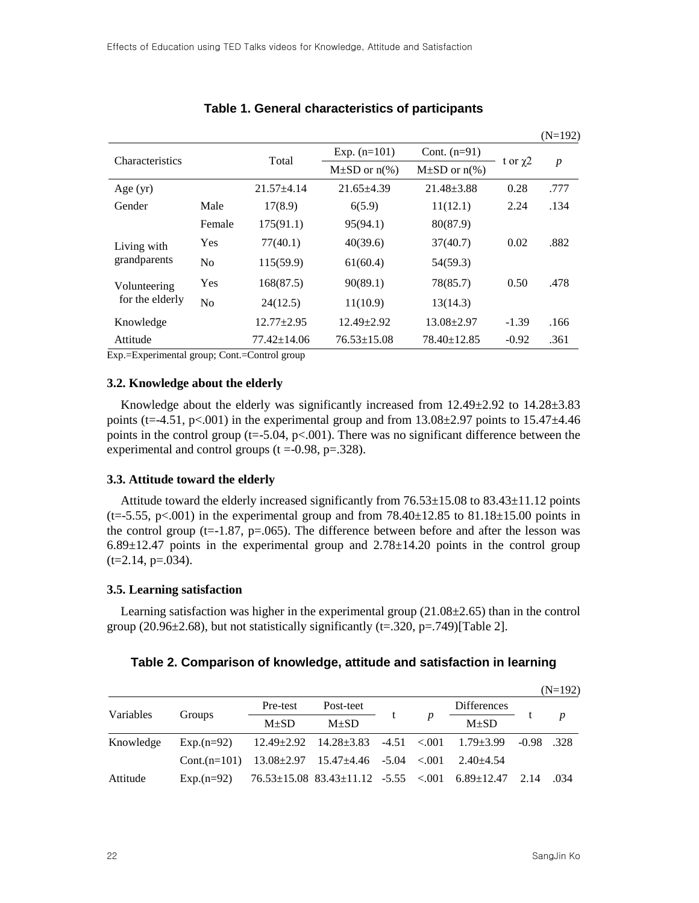|                                                                |                |                   |                      |                      |               | $(11 - 1)2)$     |  |
|----------------------------------------------------------------|----------------|-------------------|----------------------|----------------------|---------------|------------------|--|
| <b>Characteristics</b>                                         |                | Total             | Exp. $(n=101)$       | Cont. $(n=91)$       |               | $\boldsymbol{p}$ |  |
|                                                                |                |                   | $M\pm SD$ or $n\%$ ) | $M\pm SD$ or $n\%$ ) | t or $\chi$ 2 |                  |  |
| Age $(yr)$                                                     |                | $21.57 + 4.14$    | $21.65 + 4.39$       | $21.48 \pm 3.88$     | 0.28          | .777             |  |
| Gender                                                         | Male           | 17(8.9)           | 6(5.9)               | 11(12.1)             | 2.24          | .134             |  |
|                                                                | Female         | 175(91.1)         | 95(94.1)             | 80(87.9)             |               |                  |  |
| Living with<br>grandparents                                    | Yes            | 77(40.1)          | 40(39.6)             | 37(40.7)             | 0.02          | .882             |  |
|                                                                | N <sub>o</sub> | 115(59.9)         | 61(60.4)             | 54(59.3)             |               |                  |  |
| Volunteering<br>for the elderly                                | Yes            | 168(87.5)         | 90(89.1)             | 78(85.7)             | 0.50          | .478             |  |
|                                                                | N <sub>0</sub> | 24(12.5)          | 11(10.9)             | 13(14.3)             |               |                  |  |
| Knowledge                                                      |                | $12.77 \pm 2.95$  | $12.49 \pm 2.92$     | $13.08 \pm 2.97$     | $-1.39$       | .166             |  |
| Attitude                                                       |                | $77.42 \pm 14.06$ | $76.53 \pm 15.08$    | $78.40 \pm 12.85$    | $-0.92$       | .361             |  |
| $E_{\rm yn}$ $E_{\rm vanimantel}$ group: $Cont - Contol$ group |                |                   |                      |                      |               |                  |  |

## **Table 1. General characteristics of participants**

Exp.=Experimental group; Cont.=Control group

#### **3.2. Knowledge about the elderly**

Knowledge about the elderly was significantly increased from  $12.49 \pm 2.92$  to  $14.28 \pm 3.83$ points (t=-4.51, p<.001) in the experimental group and from  $13.08\pm2.97$  points to  $15.47\pm4.46$ points in the control group (t=-5.04,  $p<0.001$ ). There was no significant difference between the experimental and control groups  $(t = 0.98, p = 0.328)$ .

#### **3.3. Attitude toward the elderly**

Attitude toward the elderly increased significantly from 76.53±15.08 to 83.43±11.12 points  $(t=5.55, p<0.01)$  in the experimental group and from 78.40 $\pm$ 12.85 to 81.18 $\pm$ 15.00 points in the control group (t=-1.87,  $p=0.065$ ). The difference between before and after the lesson was  $6.89\pm12.47$  points in the experimental group and  $2.78\pm14.20$  points in the control group  $(t=2.14, p=.034)$ .

#### **3.5. Learning satisfaction**

Learning satisfaction was higher in the experimental group  $(21.08\pm 2.65)$  than in the control group (20.96 $\pm$ 2.68), but not statistically significantly (t=.320, p=.749)[Table 2].

### **Table 2. Comparison of knowledge, attitude and satisfaction in learning**

|           |                                                                              |          |                                                                        |                  |                    |              | $(N=192)$        |
|-----------|------------------------------------------------------------------------------|----------|------------------------------------------------------------------------|------------------|--------------------|--------------|------------------|
| Variables | Groups                                                                       | Pre-test | Post-teet                                                              | $\boldsymbol{p}$ | <b>Differences</b> |              | $\boldsymbol{p}$ |
|           |                                                                              | $M+SD$   | $M+SD$                                                                 |                  | $M\pm SD$          |              |                  |
| Knowledge | $Exp.(n=92)$                                                                 |          | $12.49 \pm 2.92$ $14.28 \pm 3.83$ $-4.51$ $< .001$ $1.79 \pm 3.99$     |                  |                    | $-0.98$ .328 |                  |
|           | Cont.(n=101) $13.08 \pm 2.97$ $15.47 \pm 4.46$ $-5.04$ <.001 $2.40 \pm 4.54$ |          |                                                                        |                  |                    |              |                  |
| Attitude  | $Exp.(n=92)$                                                                 |          | $76.53\pm15.08$ $83.43\pm11.12$ $-5.55$ $\lt$ .001 $6.89\pm12.47$ 2.14 |                  |                    |              | .034             |

 $(N=102)$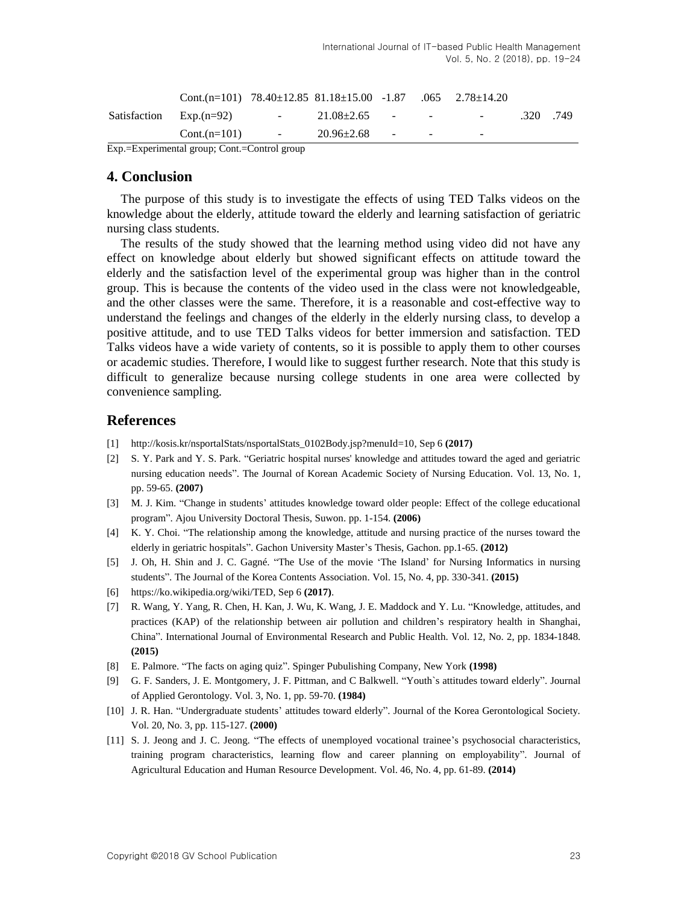|                           | $Cont.(n=101)$                                                                   | $\sim 100$           | $20.96 \pm 2.68$ | $\sim$ $-$ | $\overline{\phantom{a}}$                      |      |      |
|---------------------------|----------------------------------------------------------------------------------|----------------------|------------------|------------|-----------------------------------------------|------|------|
| Satisfaction $Exp.(n=92)$ |                                                                                  | <b>Service</b> State | $21.08 \pm 2.65$ |            | the company's state of the company's state of | .320 | .749 |
|                           | Cont.(n=101) $78.40 \pm 12.85$ $81.18 \pm 15.00$ $-1.87$ $.065$ $2.78 \pm 14.20$ |                      |                  |            |                                               |      |      |

Exp.=Experimental group; Cont.=Control group

## **4. Conclusion**

The purpose of this study is to investigate the effects of using TED Talks videos on the knowledge about the elderly, attitude toward the elderly and learning satisfaction of geriatric nursing class students.

The results of the study showed that the learning method using video did not have any effect on knowledge about elderly but showed significant effects on attitude toward the elderly and the satisfaction level of the experimental group was higher than in the control group. This is because the contents of the video used in the class were not knowledgeable, and the other classes were the same. Therefore, it is a reasonable and cost-effective way to understand the feelings and changes of the elderly in the elderly nursing class, to develop a positive attitude, and to use TED Talks videos for better immersion and satisfaction. TED Talks videos have a wide variety of contents, so it is possible to apply them to other courses or academic studies. Therefore, I would like to suggest further research. Note that this study is difficult to generalize because nursing college students in one area were collected by convenience sampling.

## **References**

- <span id="page-4-0"></span>[1] [http://kosis.kr/nsportalStats/nsportalStats\\_0102Body.jsp?menuId=10,](http://kosis.kr/nsportalStats/nsportalStats_0102Body.jsp?menuId=10) Sep 6 **(2017)**
- <span id="page-4-1"></span>[2] S. Y. Park and Y. S. Park. "Geriatric hospital nurses' knowledge and attitudes toward the aged and geriatric nursing education needs". The Journal of Korean Academic Society of Nursing Education. Vol. 13, No. 1, pp. 59-65. **(2007)**
- <span id="page-4-2"></span>[3] M. J. Kim. "Change in students' attitudes knowledge toward older people: Effect of the college educational program". Ajou University Doctoral Thesis, Suwon. pp. 1-154. **(2006)**
- [4] K. Y. Choi. "The relationship among the knowledge, attitude and nursing practice of the nurses toward the elderly in geriatric hospitals". Gachon University Master"s Thesis, Gachon. pp.1-65. **(2012)**
- <span id="page-4-3"></span>[5] J. Oh, H. Shin and J. C. Gagné. "The Use of the movie "The Island" for Nursing Informatics in nursing students". The Journal of the Korea Contents Association. Vol. 15, No. 4, pp. 330-341. **(2015)**
- <span id="page-4-4"></span>[6] [https://ko.wikipedia.org/wiki/TED,](https://ko.wikipedia.org/wiki/TED) Sep 6 **(2017)**.
- [7] R. Wang, Y. Yang, R. Chen, H. Kan, J. Wu, K. Wang, J. E. Maddock and Y. Lu. "Knowledge, attitudes, and practices (KAP) of the relationship between air pollution and children"s respiratory health in Shanghai, China". International Journal of Environmental Research and Public Health. Vol. 12, No. 2, pp. 1834-1848. **(2015)**
- <span id="page-4-5"></span>[8] E. Palmore. "The facts on aging quiz". Spinger Pubulishing Company, New York **(1998)**
- <span id="page-4-6"></span>[9] G. F. Sanders, J. E. Montgomery, J. F. Pittman, and C Balkwell. "Youth`s attitudes toward elderly". Journal of Applied Gerontology. Vol. 3, No. 1, pp. 59-70. **(1984)**
- <span id="page-4-7"></span>[10] J. R. Han. "Undergraduate students' attitudes toward elderly". Journal of the Korea Gerontological Society. Vol. 20, No. 3, pp. 115-127. **(2000)**
- [11] S. J. Jeong and J. C. Jeong. "The effects of unemployed vocational trainee"s psychosocial characteristics, training program characteristics, learning flow and career planning on employability". Journal of Agricultural Education and Human Resource Development. Vol. 46, No. 4, pp. 61-89. **(2014)**